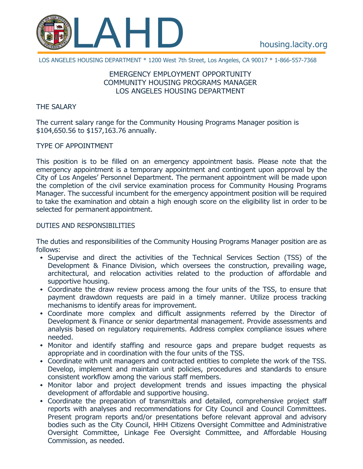

LOS ANGELES HOUSING DEPARTMENT \* 1200 West 7th Street, Los Angeles, CA 90017 \* 1-866-557-7368

# EMERGENCY EMPLOYMENT OPPORTUNITY COMMUNITY HOUSING PROGRAMS MANAGER LOS ANGELES HOUSING DEPARTMENT

#### THE SALARY

The current salary range for the Community Housing Programs Manager position is \$104,650.56 to \$157,163.76 annually.

### TYPE OF APPOINTMENT

This position is to be filled on an emergency appointment basis. Please note that the emergency appointment is a temporary appointment and contingent upon approval by the City of Los Angeles' Personnel Department. The permanent appointment will be made upon the completion of the civil service examination process for Community Housing Programs Manager. The successful incumbent for the emergency appointment position will be required to take the examination and obtain a high enough score on the eligibility list in order to be selected for permanent appointment.

#### DUTIES AND RESPONSIBILITIES

The duties and responsibilities of the Community Housing Programs Manager position are as follows:

- Supervise and direct the activities of the Technical Services Section (TSS) of the Development & Finance Division, which oversees the construction, prevailing wage, architectural, and relocation activities related to the production of affordable and supportive housing.
- Coordinate the draw review process among the four units of the TSS, to ensure that payment drawdown requests are paid in a timely manner. Utilize process tracking mechanisms to identify areas for improvement.
- Coordinate more complex and difficult assignments referred by the Director of Development & Finance or senior departmental management. Provide assessments and analysis based on regulatory requirements. Address complex compliance issues where needed.
- Monitor and identify staffing and resource gaps and prepare budget requests as appropriate and in coordination with the four units of the TSS.
- Coordinate with unit managers and contracted entities to complete the work of the TSS. Develop, implement and maintain unit policies, procedures and standards to ensure consistent workflow among the various staff members.
- Monitor labor and project development trends and issues impacting the physical development of affordable and supportive housing.
- Coordinate the preparation of transmittals and detailed, comprehensive project staff reports with analyses and recommendations for City Council and Council Committees. Present program reports and/or presentations before relevant approval and advisory bodies such as the City Council, HHH Citizens Oversight Committee and Administrative Oversight Committee, Linkage Fee Oversight Committee, and Affordable Housing Commission, as needed.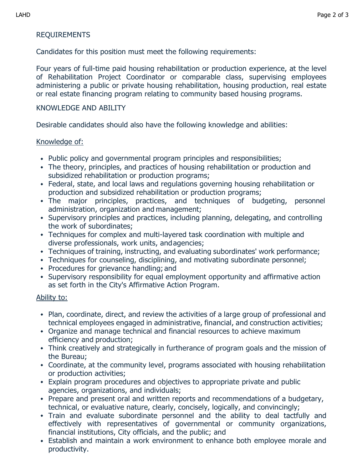# REQUIREMENTS

Candidates for this position must meet the following requirements:

Four years of full-time paid housing rehabilitation or production experience, at the level of Rehabilitation Project Coordinator or comparable class, supervising employees administering a public or private housing rehabilitation, housing production, real estate or real estate financing program relating to community based housing programs.

### KNOWLEDGE AND ABILITY

Desirable candidates should also have the following knowledge and abilities:

### Knowledge of:

- Public policy and governmental program principles and responsibilities;
- The theory, principles, and practices of housing rehabilitation or production and subsidized rehabilitation or production programs;
- Federal, state, and local laws and regulations governing housing rehabilitation or production and subsidized rehabilitation or production programs;
- The major principles, practices, and techniques of budgeting, personnel administration, organization and management;
- Supervisory principles and practices, including planning, delegating, and controlling the work of subordinates;
- Techniques for complex and multi-layered task coordination with multiple and diverse professionals, work units, andagencies;
- Techniques of training, instructing, and evaluating subordinates' work performance;
- Techniques for counseling, disciplining, and motivating subordinate personnel;
- Procedures for grievance handling; and
- Supervisory responsibility for equal employment opportunity and affirmative action as set forth in the City's Affirmative Action Program.

# Ability to:

- Plan, coordinate, direct, and review the activities of a large group of professional and technical employees engaged in administrative, financial, and construction activities;
- Organize and manage technical and financial resources to achieve maximum efficiency and production;
- Think creatively and strategically in furtherance of program goals and the mission of the Bureau;
- Coordinate, at the community level, programs associated with housing rehabilitation or production activities;
- Explain program procedures and objectives to appropriate private and public agencies, organizations, and individuals;
- Prepare and present oral and written reports and recommendations of a budgetary, technical, or evaluative nature, clearly, concisely, logically, and convincingly;
- Train and evaluate subordinate personnel and the ability to deal tactfully and effectively with representatives of governmental or community organizations, financial institutions, City officials, and the public; and
- Establish and maintain a work environment to enhance both employee morale and productivity.